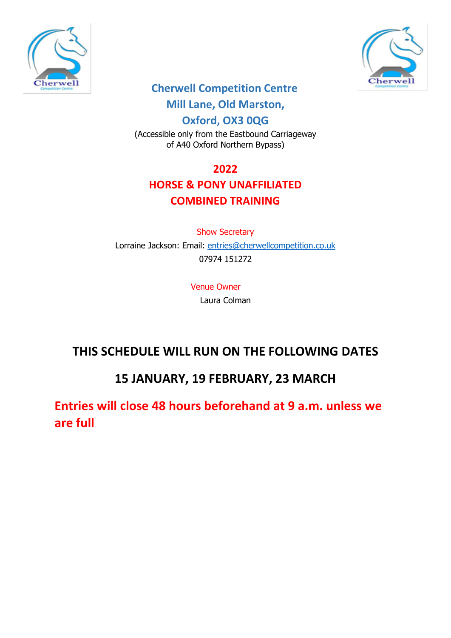



## **Cherwell Competition Centre**

## **Mill Lane, Old Marston,**

**Oxford, OX3 0QG**

(Accessible only from the Eastbound Carriageway of A40 Oxford Northern Bypass)

## **2022**

## **HORSE & PONY UNAFFILIATED COMBINED TRAINING**

## Show Secretary Lorraine Jackson: Email: [entries@cherwellcompetition.co.uk](mailto:entries@cherwellcompetition.co.uk) 07974 151272

#### Venue Owner Laura Colman

# **THIS SCHEDULE WILL RUN ON THE FOLLOWING DATES**

# **15 JANUARY, 19 FEBRUARY, 23 MARCH**

**Entries will close 48 hours beforehand at 9 a.m. unless we are full**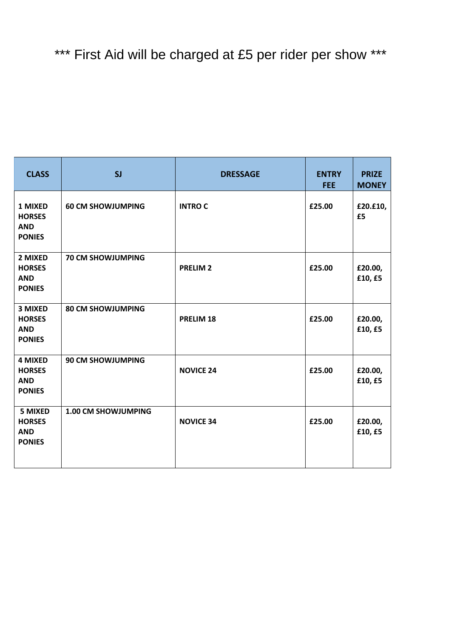| <b>CLASS</b>                                                   | SI                       | <b>DRESSAGE</b>  | <b>ENTRY</b><br><b>FEE</b> | <b>PRIZE</b><br><b>MONEY</b> |
|----------------------------------------------------------------|--------------------------|------------------|----------------------------|------------------------------|
| 1 MIXED<br><b>HORSES</b><br><b>AND</b><br><b>PONIES</b>        | <b>60 CM SHOWJUMPING</b> | <b>INTROC</b>    | £25.00                     | £20.£10,<br>£5               |
| 2 MIXED<br><b>HORSES</b><br><b>AND</b><br><b>PONIES</b>        | <b>70 CM SHOWJUMPING</b> | <b>PRELIM 2</b>  | £25.00                     | £20.00,<br>£10, £5           |
| <b>3 MIXED</b><br><b>HORSES</b><br><b>AND</b><br><b>PONIES</b> | <b>80 CM SHOWJUMPING</b> | PRELIM 18        | £25.00                     | £20.00,<br>£10, £5           |
| <b>4 MIXED</b><br><b>HORSES</b><br><b>AND</b><br><b>PONIES</b> | <b>90 CM SHOWJUMPING</b> | <b>NOVICE 24</b> | £25.00                     | £20.00,<br>£10, £5           |
| <b>5 MIXED</b><br><b>HORSES</b><br><b>AND</b><br><b>PONIES</b> | 1.00 CM SHOWJUMPING      | <b>NOVICE 34</b> | £25.00                     | £20.00,<br>£10, £5           |